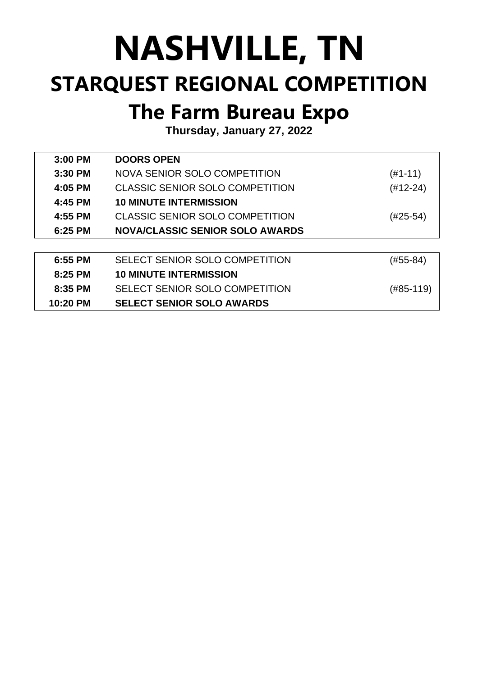#### **The Farm Bureau Expo**

**Thursday, January 27, 2022**

| 3:00 PM   | <b>DOORS OPEN</b>                      |               |
|-----------|----------------------------------------|---------------|
| 3:30 PM   | NOVA SENIOR SOLO COMPETITION           | $(#1-11)$     |
| 4:05 PM   | CLASSIC SENIOR SOLO COMPETITION        | $(\#12 - 24)$ |
| 4:45 PM   | <b>10 MINUTE INTERMISSION</b>          |               |
| 4:55 PM   | CLASSIC SENIOR SOLO COMPETITION        | (#25-54)      |
| 6:25 PM   | <b>NOVA/CLASSIC SENIOR SOLO AWARDS</b> |               |
|           |                                        |               |
| $6:55$ PM | SELECT SENIOR SOLO COMPETITION         | (#55-84)      |
| 8:25 PM   | <b>10 MINUTE INTERMISSION</b>          |               |
| 8:35 PM   | SELECT SENIOR SOLO COMPETITION         | (#85-119)     |
| 10:20 PM  | <b>SELECT SENIOR SOLO AWARDS</b>       |               |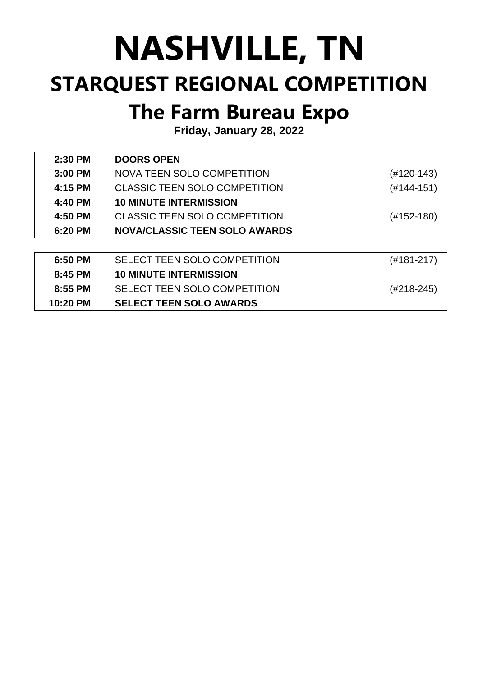#### **The Farm Bureau Expo**

**Friday, January 28, 2022**

| 2:30 PM  | <b>DOORS OPEN</b>                    |                |
|----------|--------------------------------------|----------------|
| 3:00 PM  | <b>NOVA TEEN SOLO COMPETITION</b>    | (#120-143)     |
| 4:15 PM  | <b>CLASSIC TEEN SOLO COMPETITION</b> | $(H144-151)$   |
| 4:40 PM  | <b>10 MINUTE INTERMISSION</b>        |                |
| 4:50 PM  | <b>CLASSIC TEEN SOLO COMPETITION</b> | (#152-180)     |
| 6:20 PM  | <b>NOVA/CLASSIC TEEN SOLO AWARDS</b> |                |
|          |                                      |                |
| 6:50 PM  | SELECT TEEN SOLO COMPETITION         | $(#181 - 217)$ |
| 8:45 PM  | <b>10 MINUTE INTERMISSION</b>        |                |
| 8:55 PM  | SELECT TEEN SOLO COMPETITION         | (#218-245)     |
| 10:20 PM | <b>SELECT TEEN SOLO AWARDS</b>       |                |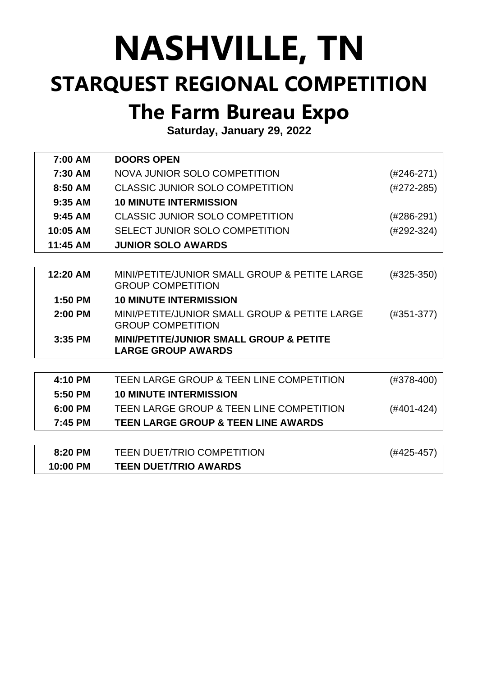#### **The Farm Bureau Expo**

**Saturday, January 29, 2022**

| 7:00 AM   | <b>DOORS OPEN</b>                                                               |              |
|-----------|---------------------------------------------------------------------------------|--------------|
| 7:30 AM   | NOVA JUNIOR SOLO COMPETITION                                                    | (#246-271)   |
| $8:50$ AM | CLASSIC JUNIOR SOLO COMPETITION                                                 | $(H272-285)$ |
| $9:35$ AM | <b>10 MINUTE INTERMISSION</b>                                                   |              |
| $9:45$ AM | CLASSIC JUNIOR SOLO COMPETITION                                                 | $(#286-291)$ |
| 10:05 AM  | SELECT JUNIOR SOLO COMPETITION                                                  | $(H292-324)$ |
| 11:45 AM  | <b>JUNIOR SOLO AWARDS</b>                                                       |              |
|           |                                                                                 |              |
| 12:20 AM  | MINI/PETITE/JUNIOR SMALL GROUP & PETITE LARGE<br><b>GROUP COMPETITION</b>       | $(#325-350)$ |
| $1:50$ PM | <b>10 MINUTE INTERMISSION</b>                                                   |              |
| $2:00$ PM | MINI/PETITE/JUNIOR SMALL GROUP & PETITE LARGE<br><b>GROUP COMPETITION</b>       | $(#351-377)$ |
| $3:35$ PM | <b>MINI/PETITE/JUNIOR SMALL GROUP &amp; PETITE</b><br><b>LARGE GROUP AWARDS</b> |              |

| 4:10 PM   | TEEN LARGE GROUP & TEEN LINE COMPETITION       | $(#378-400)$ |
|-----------|------------------------------------------------|--------------|
| 5:50 PM   | <b>10 MINUTE INTERMISSION</b>                  |              |
| $6:00$ PM | TEEN LARGE GROUP & TEEN LINE COMPETITION       | (#401-424)   |
| 7:45 PM   | <b>TEEN LARGE GROUP &amp; TEEN LINE AWARDS</b> |              |
|           |                                                |              |

| 8:20 PM  | TEEN DUET/TRIO COMPETITION   | (#425-457 |
|----------|------------------------------|-----------|
| 10:00 PM | <b>TEEN DUET/TRIO AWARDS</b> |           |